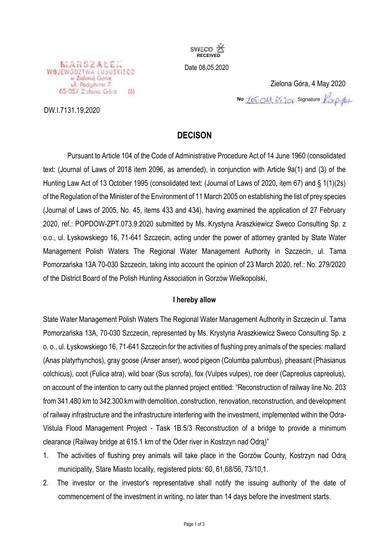

Date 08.05.2020

### WOJEWODZTWA LUBUSKIEGO ul. Podgórna 7 65-057 Zielene Göre  $(5)$

DW.I.7131.19.2020

Zielona Góra, 4 May 2020 **No ZPL OM**, 65, 1 CM<sub>C</sub> Signature

# **DECISON**

Pursuant to Article 104 of the Code of Administrative Procedure Act of 14 June 1960 (consolidated text: (Journal of Laws of 2018 item 2096, as amended), in conjunction with Article 9a(1) and (3) of the Hunting Law Act of 13 October 1995 (consolidated text: (Journal of Laws of 2020, item 67) and § 1(1)(2s) of the Regulation of the Minister of the Environment of 11 March 2005 on establishing the list of prey species (Journal of Laws of 2005, No. 45, items 433 and 434), having examined the application of 27 February 2020, ref.: POPDOW-ZPT.073.9.2020 submitted by Ms. Krystyna Araszkiewicz Sweco Consulting Sp. z o.o., ul. Łyskowskiego 16, 71-641 Szczecin, acting under the power of attorney granted by State Water Management Polish Waters The Regional Water Management Authority in Szczecin, ul. Tama Pomorzańska 13A 70-030 Szczecin, taking into account the opinion of 23 March 2020, ref.: No. 279/2020 of the District Board of the Polish Hunting Association in Gorzów Wielkopolski,

## **I hereby allow**

State Water Management Polish Waters The Regional Water Management Authority in Szczecin ul. Tama Pomorzańska 13A, 70-030 Szczecin, represented by Ms. Krystyna Araszkiewicz Sweco Consulting Sp. z o. o., ul. Łyskowskiego 16, 71-641 Szczecin for the activities of flushing prey animals of the species: mallard (Anas platyrhynchos), gray goose (Anser anser), wood pigeon (Columba palumbus), pheasant (Phasianus colchicus), coot (Fulica atra), wild boar (Sus scrofa), fox (Vulpes vulpes), roe deer (Capreolus capreolus), on account of the intention to carry out the planned project entitled: "Reconstruction of railway line No. 203 from 341.480 km to 342.300 km with demolition, construction, renovation, reconstruction, and development of railway infrastructure and the infrastructure interfering with the investment, implemented within the Odra-Vistula Flood Management Project - Task 1B.5/3 Reconstruction of a bridge to provide a minimum clearance (Railway bridge at 615.1 km of the Oder river in Kostrzyn nad Odrą)"

- 1. The activities of flushing prey animals will take place in the Gorzów County, Kostrzyn nad Odrą municipality, Stare Miasto locality, registered plots: 60, 61,68/56, 73/10,1.
- 2. The investor or the investor's representative shall notify the issuing authority of the date of commencement of the investment in writing, no later than 14 days before the investment starts.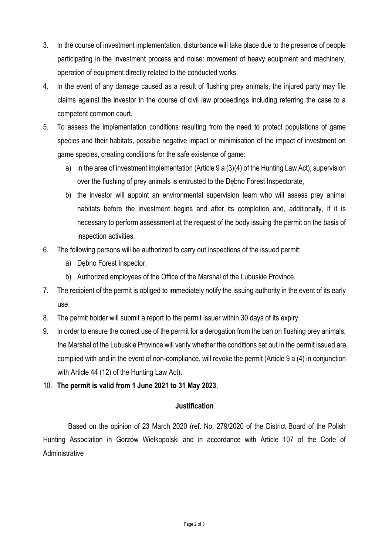- 3. In the course of investment implementation, disturbance will take place due to the presence of people participating in the investment process and noise: movement of heavy equipment and machinery, operation of equipment directly related to the conducted works.
- 4. In the event of any damage caused as a result of flushing prey animals, the injured party may file claims against the investor in the course of civil law proceedings including referring the case to a competent common court.
- 5. To assess the implementation conditions resulting from the need to protect populations of game species and their habitats, possible negative impact or minimisation of the impact of investment on game species, creating conditions for the safe existence of game:
	- a) in the area of investment implementation (Article 9 a (3)(4) of the Hunting Law Act), supervision over the flushing of prey animals is entrusted to the Dębno Forest Inspectorate,
	- b) the investor will appoint an environmental supervision team who will assess prey animal habitats before the investment begins and after its completion and, additionally, if it is necessary to perform assessment at the request of the body issuing the permit on the basis of inspection activities.
- 6. The following persons will be authorized to carry out inspections of the issued permit:
	- a) Dębno Forest Inspector,
	- b) Authorized employees of the Office of the Marshal of the Lubuskie Province.
- 7. The recipient of the permit is obliged to immediately notify the issuing authority in the event of its early use.
- 8. The permit holder will submit a report to the permit issuer within 30 days of its expiry.
- 9. In order to ensure the correct use of the permit for a derogation from the ban on flushing prey animals, the Marshal of the Lubuskie Province will verify whether the conditions set out in the permit issued are complied with and in the event of non-compliance, will revoke the permit (Article 9 a (4) in conjunction with Article 44 (12) of the Hunting Law Act).
- 10. **The permit is valid from 1 June 2021 to 31 May 2023.**

# **Justification**

Based on the opinion of 23 March 2020 (ref. No. 279/2020 of the District Board of the Polish Hunting Association in Gorzów Wielkopolski and in accordance with Article 107 of the Code of **Administrative**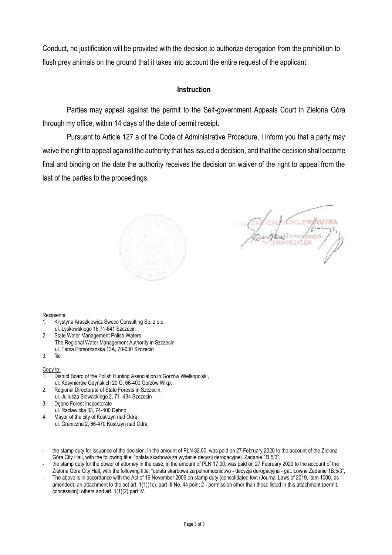Conduct, no justification will be provided with the decision to authorize derogation from the prohibition to flush prey animals on the ground that it takes into account the entire request of the applicant.

## **Instruction**

Parties may appeal against the permit to the Self-government Appeals Court in Zielona Góra through my office, within 14 days of the date of permit receipt.

Pursuant to Article 127 a of the Code of Administrative Procedure, I inform you that a party may waive the right to appeal against the authority that has issued a decision, and that the decision shall become final and binding on the date the authority receives the decision on waiver of the right to appeal from the last of the parties to the proceedings.



**MOJEM DIRC** RSZAFEK

#### Recipients:

- 1. Krystyna Araszkiewicz Sweco Consulting Sp. z o.o. ul. Łyskowskiego 16,71-641 Szczecin
- 2. State Water Management Polish Waters The Regional Water Management Authority in Szczecin ul. Tama Pomorzańska 13A, 70-030 Szczecin
- 3. file

#### Copy to:

- 1. District Board of the Polish Hunting Association in Gorzów Wielkopolski, ul. Kosynierów Gdyńskich 20 G, 66-400 Gorzów Wlkp.
- 2. Regional Directorate of State Forests in Szczecin, ul. Juliusza Słowackiego 2, 71 -434 Szczecin
- 3. Dębno Forest Inspectorate ul. Racławicka 33, 74-400 Dębno
- 4. Mayor of the city of Kostrzyn nad Odrą ul. Graniczna 2, 66-470 Kostrzyn nad Odrą
- the stamp duty for issuance of the decision, in the amount of PLN 82.00, was paid on 27 February 2020 to the account of the Zielona Góra City Hall, with the following title: "opłata skarbowa za wydanie decyzji derogacyjnej. Zadanie 1B.5/3",
- the stamp duty for the power of attorney in the case, in the amount of PLN 17.00, was paid on 27 February 2020 to the account of the Zielona Góra City Hall, with the following title: "opłata skarbowa za pełnomocnictwo - decyzja derogacyjna - gat. Łowne Zadanie 1B.5/3",
- The above is in accordance with the Act of 16 November 2006 on stamp duty (consolidated text (Journal Laws of 2019, item 1000, as amended), an attachment to the act art. 1(1)(1c), part III No. 44 point 2 - permission other than those listed in this attachment (permit, concession): others and art. 1(1)(2) part IV.